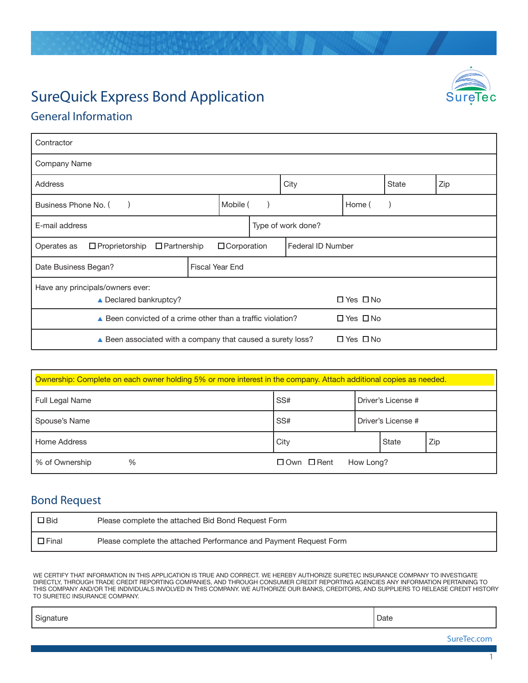## SureQuick Express Bond Application



## General Information

| Contractor                                                                         |  |  |          |                    |                      |              |     |
|------------------------------------------------------------------------------------|--|--|----------|--------------------|----------------------|--------------|-----|
| Company Name                                                                       |  |  |          |                    |                      |              |     |
| Address                                                                            |  |  |          | City               |                      | <b>State</b> | Zip |
| Business Phone No. (                                                               |  |  | Mobile ( |                    | Home (               |              |     |
| E-mail address                                                                     |  |  |          | Type of work done? |                      |              |     |
| $\Box$ Partnership<br>$\Box$ Corporation<br>$\Box$ Proprietorship<br>Operates as   |  |  |          | Federal ID Number  |                      |              |     |
| <b>Fiscal Year End</b><br>Date Business Began?                                     |  |  |          |                    |                      |              |     |
| Have any principals/owners ever:<br>$\Box$ Yes $\Box$ No<br>▲ Declared bankruptcy? |  |  |          |                    |                      |              |     |
| ▲ Been convicted of a crime other than a traffic violation?                        |  |  |          |                    | $\Box$ Yes $\Box$ No |              |     |
| ▲ Been associated with a company that caused a surety loss?                        |  |  |          |                    | $\Box$ Yes $\Box$ No |              |     |

| Ownership: Complete on each owner holding 5% or more interest in the company. Attach additional copies as needed. |                             |           |                      |     |  |  |  |
|-------------------------------------------------------------------------------------------------------------------|-----------------------------|-----------|----------------------|-----|--|--|--|
| Full Legal Name                                                                                                   | SS#                         |           | l Driver's License # |     |  |  |  |
| Spouse's Name                                                                                                     | SS#<br>l Driver's License # |           |                      |     |  |  |  |
| Home Address                                                                                                      | City                        |           | State                | Zip |  |  |  |
| $\%$<br>% of Ownership                                                                                            | $\Box$ Own $\Box$ Rent      | How Long? |                      |     |  |  |  |

## Bond Request

| $\Box$ Bid   | Please complete the attached Bid Bond Request Form                |
|--------------|-------------------------------------------------------------------|
| $\Box$ Final | Please complete the attached Performance and Payment Request Form |

WE CERTIFY THAT INFORMATION IN THIS APPLICATION IS TRUE AND CORRECT. WE HEREBY AUTHORIZE SURETEC INSURANCE COMPANY TO INVESTIGATE DIRECTLY, THROUGH TRADE CREDIT REPORTING COMPANIES, AND THROUGH CONSUMER CREDIT REPORTING AGENCIES ANY INFORMATION PERTAINING TO THIS COMPANY AND/OR THE INDIVIDUALS INVOLVED IN THIS COMPANY. WE AUTHORIZE OUR BANKS, CREDITORS, AND SUPPLIERS TO RELEASE CREDIT HISTORY TO SURETEC INSURANCE COMPANY.

Signature Date **Date of the Contract of Contract Contract of Contract Contract Contract On Contract On Contract Contract On Contract On Contract On Contract On Contract On Contract On Contract On Contract On Contract On Co**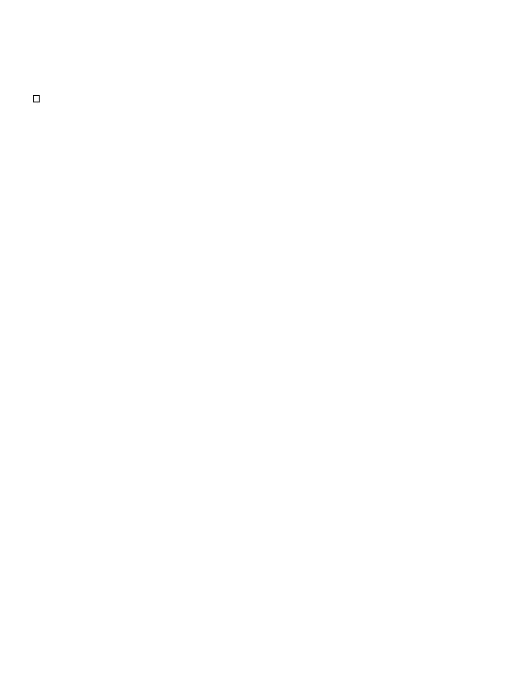$\Box$